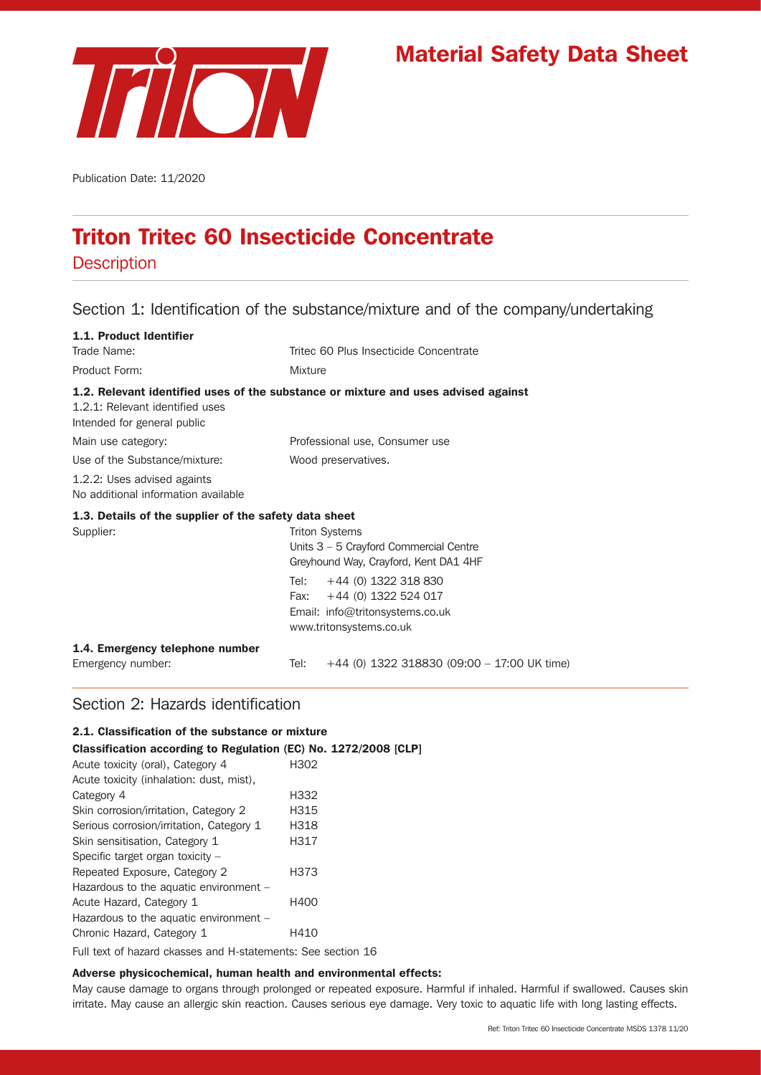

# Material Safety Data Sheet

Publication Date: 11/2020

# Triton Tritec 60 Insecticide Concentrate

**Description** 

## Section 1: Identification of the substance/mixture and of the company/undertaking

| 1.1. Product Identifier                                            |                                                                                                                                                                                                                     |
|--------------------------------------------------------------------|---------------------------------------------------------------------------------------------------------------------------------------------------------------------------------------------------------------------|
| Trade Name:                                                        | Tritec 60 Plus Insecticide Concentrate                                                                                                                                                                              |
| Product Form:                                                      | Mixture                                                                                                                                                                                                             |
| 1.2.1: Relevant identified uses<br>Intended for general public     | 1.2. Relevant identified uses of the substance or mixture and uses advised against                                                                                                                                  |
| Main use category:                                                 | Professional use, Consumer use                                                                                                                                                                                      |
| Use of the Substance/mixture:                                      | Wood preservatives.                                                                                                                                                                                                 |
| 1.2.2: Uses advised againts<br>No additional information available |                                                                                                                                                                                                                     |
| 1.3. Details of the supplier of the safety data sheet              |                                                                                                                                                                                                                     |
| Supplier:                                                          | <b>Triton Systems</b><br>Units 3 - 5 Crayford Commercial Centre<br>Greyhound Way, Crayford, Kent DA1 4HF<br>$+44$ (0) 1322 318 830<br>Tel: Tel<br>$+44$ (0) 1322 524 017<br>Fax:<br>Email: info@tritonsystems.co.uk |
|                                                                    | www.tritonsystems.co.uk                                                                                                                                                                                             |
| 1.4. Emergency telephone number<br>Emergency number:               | Tel:<br>$+44$ (0) 1322 318830 (09:00 - 17:00 UK time)                                                                                                                                                               |

## Section 2: Hazards identification

#### 2.1. Classification of the substance or mixture

Classification according to Regulation (EC) No. 1272/2008 [CLP]

| Acute toxicity (oral), Category 4        | H302 |
|------------------------------------------|------|
| Acute toxicity (inhalation: dust, mist), |      |
| Category 4                               | H332 |
| Skin corrosion/irritation, Category 2    | H315 |
| Serious corrosion/irritation, Category 1 | H318 |
| Skin sensitisation, Category 1           | H317 |
| Specific target organ toxicity $-$       |      |
| Repeated Exposure, Category 2            | H373 |
| Hazardous to the aquatic environment -   |      |
| Acute Hazard, Category 1                 | H400 |
| Hazardous to the aquatic environment -   |      |
| Chronic Hazard, Category 1               | H410 |
|                                          |      |

Full text of hazard ckasses and H-statements: See section 16

#### Adverse physicochemical, human health and environmental effects:

May cause damage to organs through prolonged or repeated exposure. Harmful if inhaled. Harmful if swallowed. Causes skin irritate. May cause an allergic skin reaction. Causes serious eye damage. Very toxic to aquatic life with long lasting effects.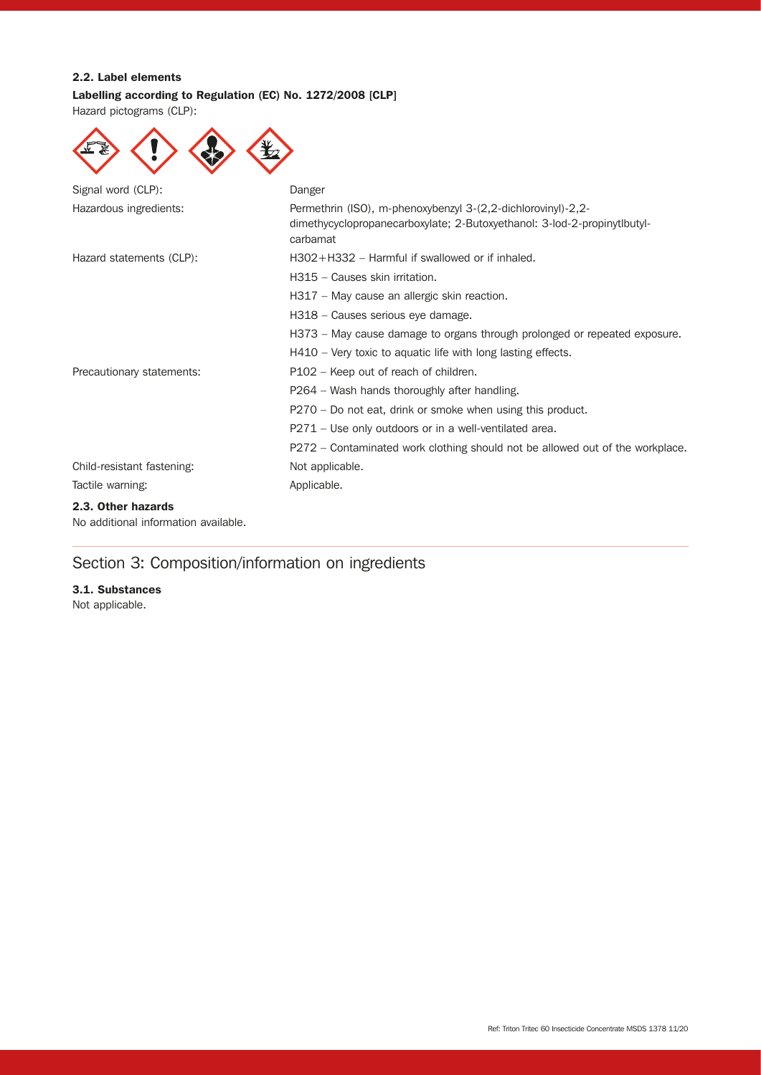## 2.2. Label elements

## Labelling according to Regulation (EC) No. 1272/2008 [CLP]

Hazard pictograms (CLP):

| Signal word (CLP):         | Danger                                                                                                                                               |
|----------------------------|------------------------------------------------------------------------------------------------------------------------------------------------------|
| Hazardous ingredients:     | Permethrin (ISO), m-phenoxybenzyl 3-(2,2-dichlorovinyl)-2,2-<br>dimethycyclopropanecarboxylate; 2-Butoxyethanol: 3-lod-2-propinytlbutyl-<br>carbamat |
| Hazard statements (CLP):   | H302+H332 – Harmful if swallowed or if inhaled.                                                                                                      |
|                            | H315 - Causes skin irritation.                                                                                                                       |
|                            | H317 – May cause an allergic skin reaction.                                                                                                          |
|                            | H318 - Causes serious eye damage.                                                                                                                    |
|                            | H373 – May cause damage to organs through prolonged or repeated exposure.                                                                            |
|                            | $H410$ – Very toxic to aquatic life with long lasting effects.                                                                                       |
| Precautionary statements:  | P102 – Keep out of reach of children.                                                                                                                |
|                            | P264 – Wash hands thoroughly after handling.                                                                                                         |
|                            | P270 – Do not eat, drink or smoke when using this product.                                                                                           |
|                            | P271 – Use only outdoors or in a well-ventilated area.                                                                                               |
|                            | P272 – Contaminated work clothing should not be allowed out of the workplace.                                                                        |
| Child-resistant fastening: | Not applicable.                                                                                                                                      |
| Tactile warning:           | Applicable.                                                                                                                                          |
| 2.3. Other hazards         |                                                                                                                                                      |

No additional information available.

## Section 3: Composition/information on ingredients

### 3.1. Substances

Not applicable.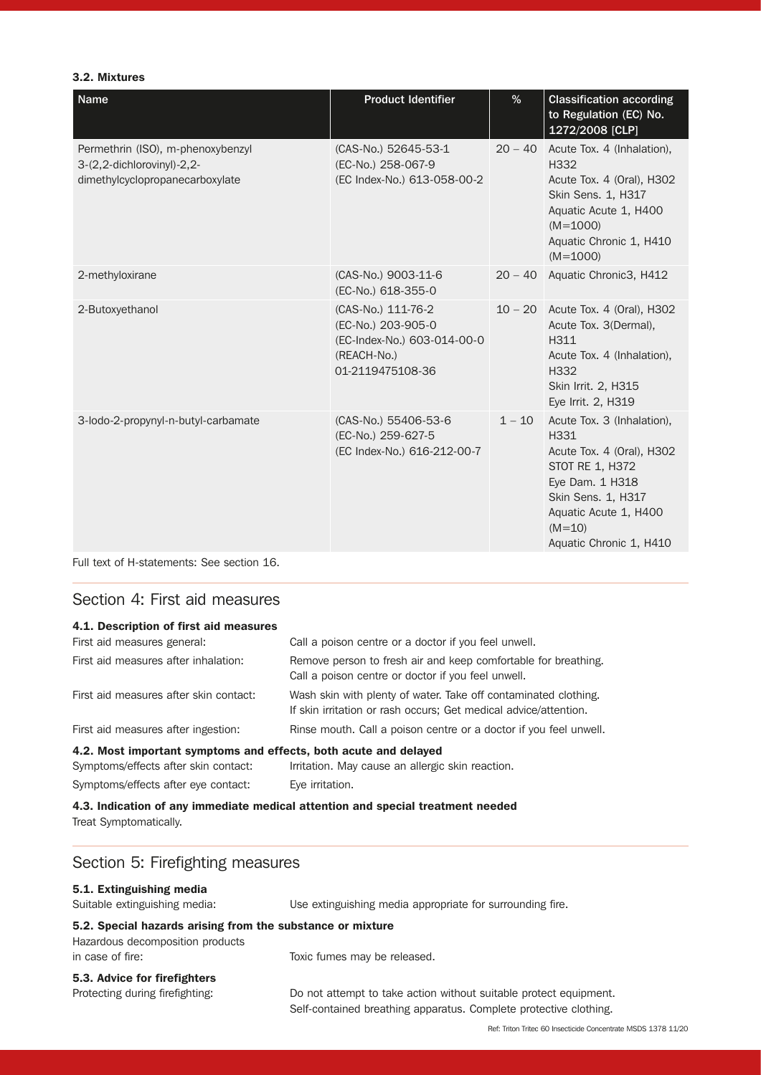## 3.2. Mixtures

| <b>Name</b>                                                                                        | <b>Product Identifier</b>                                                                                  | $\%$      | <b>Classification according</b><br>to Regulation (EC) No.<br>1272/2008 [CLP]                                                                                                                |
|----------------------------------------------------------------------------------------------------|------------------------------------------------------------------------------------------------------------|-----------|---------------------------------------------------------------------------------------------------------------------------------------------------------------------------------------------|
| Permethrin (ISO), m-phenoxybenzyl<br>3-(2,2-dichlorovinyl)-2,2-<br>dimethylcyclopropanecarboxylate | (CAS-No.) 52645-53-1<br>(EC-No.) 258-067-9<br>(EC Index-No.) 613-058-00-2                                  | $20 - 40$ | Acute Tox. 4 (Inhalation),<br>H332<br>Acute Tox. 4 (Oral), H302<br>Skin Sens. 1, H317<br>Aquatic Acute 1, H400<br>$(M=1000)$<br>Aquatic Chronic 1, H410<br>$(M=1000)$                       |
| 2-methyloxirane                                                                                    | (CAS-No.) 9003-11-6<br>(EC-No.) 618-355-0                                                                  | $20 - 40$ | Aquatic Chronic3, H412                                                                                                                                                                      |
| 2-Butoxyethanol                                                                                    | (CAS-No.) 111-76-2<br>(EC-No.) 203-905-0<br>(EC-Index-No.) 603-014-00-0<br>(REACH-No.)<br>01-2119475108-36 | $10 - 20$ | Acute Tox. 4 (Oral), H302<br>Acute Tox. 3(Dermal),<br>H311<br>Acute Tox. 4 (Inhalation),<br>H332<br>Skin Irrit. 2, H315<br>Eye Irrit. 2, H319                                               |
| 3-lodo-2-propynyl-n-butyl-carbamate                                                                | (CAS-No.) 55406-53-6<br>(EC-No.) 259-627-5<br>(EC Index-No.) 616-212-00-7                                  | $1 - 10$  | Acute Tox. 3 (Inhalation),<br>H331<br>Acute Tox. 4 (Oral), H302<br>STOT RE 1, H372<br>Eye Dam. 1 H318<br>Skin Sens. 1, H317<br>Aquatic Acute 1, H400<br>$(M=10)$<br>Aquatic Chronic 1, H410 |

Full text of H-statements: See section 16.

## Section 4: First aid measures

| 4.1. Description of first aid measures                           |                                                                                                                                     |
|------------------------------------------------------------------|-------------------------------------------------------------------------------------------------------------------------------------|
| First aid measures general:                                      | Call a poison centre or a doctor if you feel unwell.                                                                                |
| First aid measures after inhalation:                             | Remove person to fresh air and keep comfortable for breathing.<br>Call a poison centre or doctor if you feel unwell.                |
| First aid measures after skin contact:                           | Wash skin with plenty of water. Take off contaminated clothing.<br>If skin irritation or rash occurs; Get medical advice/attention. |
| First aid measures after ingestion:                              | Rinse mouth. Call a poison centre or a doctor if you feel unwell.                                                                   |
| 4.2. Most important symptoms and effects, both acute and delayed |                                                                                                                                     |
| Symptoms/effects after skin contact:                             | Irritation. May cause an allergic skin reaction.                                                                                    |
| Symptoms/effects after eye contact:                              | Eye irritation.                                                                                                                     |

#### 4.3. Indication of any immediate medical attention and special treatment needed Treat Symptomatically.

## Section 5: Firefighting measures

### 5.1. Extinguishing media

| Suitable extinguishing media:                                                                                      | Use extinguishing media appropriate for surrounding fire.                                                                              |  |
|--------------------------------------------------------------------------------------------------------------------|----------------------------------------------------------------------------------------------------------------------------------------|--|
| 5.2. Special hazards arising from the substance or mixture<br>Hazardous decomposition products<br>in case of fire: | Toxic fumes may be released.                                                                                                           |  |
| 5.3. Advice for firefighters<br>Protecting during firefighting:                                                    | Do not attempt to take action without suitable protect equipment.<br>Self-contained breathing apparatus. Complete protective clothing. |  |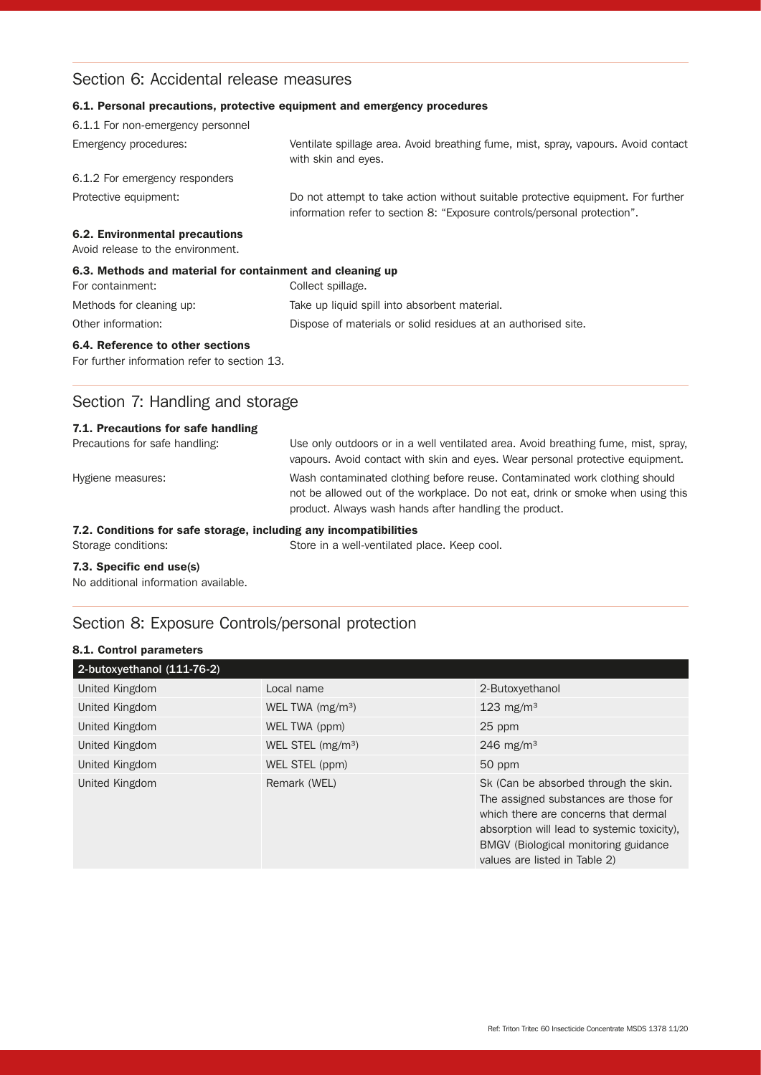## Section 6: Accidental release measures

#### 6.1. Personal precautions, protective equipment and emergency procedures

| 6.1.1 For non-emergency personnel                                                |                                                                                                                                                              |
|----------------------------------------------------------------------------------|--------------------------------------------------------------------------------------------------------------------------------------------------------------|
| Emergency procedures:                                                            | Ventilate spillage area. Avoid breathing fume, mist, spray, vapours. Avoid contact<br>with skin and eyes.                                                    |
| 6.1.2 For emergency responders                                                   |                                                                                                                                                              |
| Protective equipment:                                                            | Do not attempt to take action without suitable protective equipment. For further<br>information refer to section 8: "Exposure controls/personal protection". |
| 6.2. Environmental precautions<br>Avoid release to the environment.              |                                                                                                                                                              |
| 6.3. Methods and material for containment and cleaning up<br>For containment:    | Collect spillage.                                                                                                                                            |
| Methods for cleaning up:                                                         | Take up liquid spill into absorbent material.                                                                                                                |
| Other information:                                                               | Dispose of materials or solid residues at an authorised site.                                                                                                |
| 6.4. Reference to other sections<br>For further information refer to section 13. |                                                                                                                                                              |

## Section 7: Handling and storage

## 7.1. Precautions for safe handling Precautions for safe handling: Use only outdoors or in a well ventilated area. Avoid breathing fume, mist, spray, vapours. Avoid contact with skin and eyes. Wear personal protective equipment. Hygiene measures: Wash contaminated clothing before reuse. Contaminated work clothing should not be allowed out of the workplace. Do not eat, drink or smoke when using this product. Always wash hands after handling the product. 7.2. Conditions for safe storage, including any incompatibilities Storage conditions: Store in a well-ventilated place. Keep cool.

#### 7.3. Specific end use(s)

No additional information available.

## Section 8: Exposure Controls/personal protection

#### 8.1. Control parameters

| 2-butoxyethanol (111-76-2) |                               |                                                                                                                                                                                                                                                |
|----------------------------|-------------------------------|------------------------------------------------------------------------------------------------------------------------------------------------------------------------------------------------------------------------------------------------|
| United Kingdom             | Local name                    | 2-Butoxyethanol                                                                                                                                                                                                                                |
| United Kingdom             | WEL TWA $(mg/m3)$             | 123 mg/m $3$                                                                                                                                                                                                                                   |
| United Kingdom             | WEL TWA (ppm)                 | 25 ppm                                                                                                                                                                                                                                         |
| United Kingdom             | WEL STEL (mg/m <sup>3</sup> ) | 246 mg/m <sup>3</sup>                                                                                                                                                                                                                          |
| United Kingdom             | WEL STEL (ppm)                | 50 ppm                                                                                                                                                                                                                                         |
| United Kingdom             | Remark (WEL)                  | Sk (Can be absorbed through the skin.<br>The assigned substances are those for<br>which there are concerns that dermal<br>absorption will lead to systemic toxicity).<br>BMGV (Biological monitoring guidance<br>values are listed in Table 2) |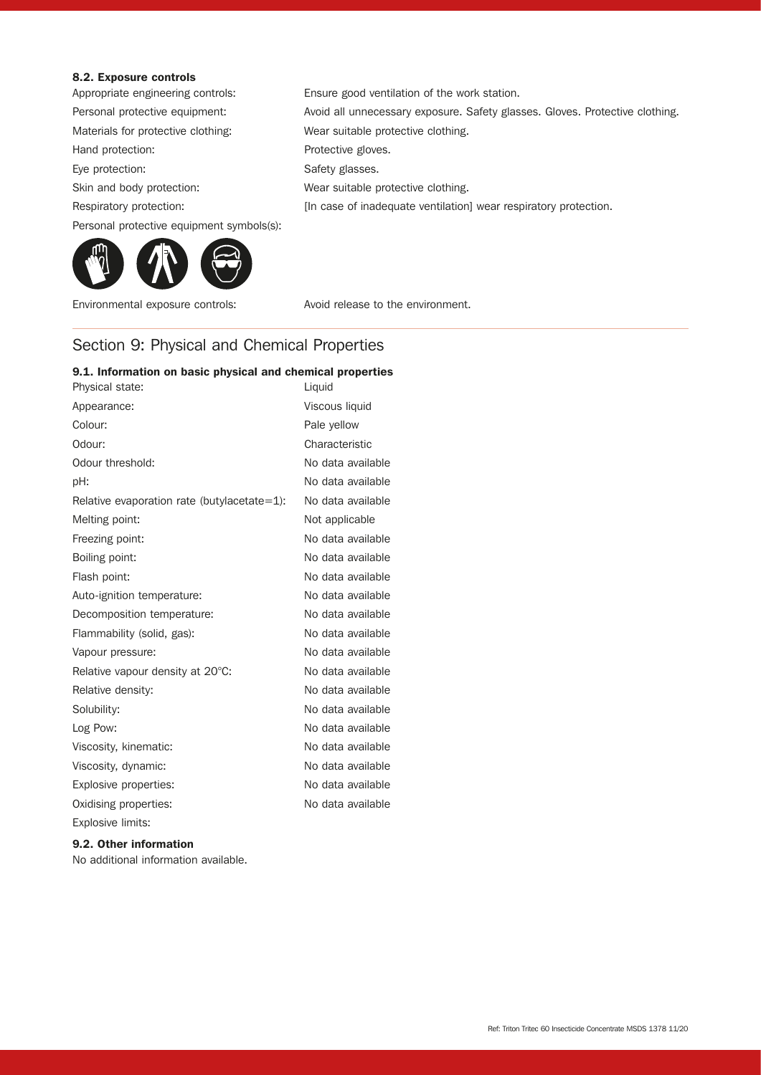#### 8.2. Exposure controls

Appropriate engineering controls: Ensure good ventilation of the work station. Personal protective equipment: Avoid all unnecessary exposure. Safety glasses. Gloves. Protective clothing. Materials for protective clothing: Wear suitable protective clothing. Hand protection: Protective gloves. Eye protection: Safety glasses. Skin and body protection: Wear suitable protective clothing. Respiratory protection: [In case of inadequate ventilation] wear respiratory protection. Personal protective equipment symbols(s):



Environmental exposure controls: Avoid release to the environment.

## Section 9: Physical and Chemical Properties

#### 9.1. Information on basic physical and chemical properties

Physical state: Liquid Appearance: Viscous liquid Colour: Pale yellow Odour: Characteristic Odour threshold: No data available pH: No data available Relative evaporation rate (butylacetate=1): No data available Melting point: Not applicable Freezing point: The contract of the No data available Boiling point: No data available Flash point: No data available Auto-ignition temperature: No data available Decomposition temperature: No data available Flammability (solid, gas): No data available Vapour pressure: Vapour pressure: No data available Relative vapour density at 20°C: No data available Relative density: No data available Solubility: Solubility: Solubility: No data available Log Pow: No data available Viscosity, kinematic: No data available Viscosity, dynamic: Viscosity, dynamic: No data available Explosive properties: No data available Oxidising properties: No data available Explosive limits:

#### 9.2. Other information

No additional information available.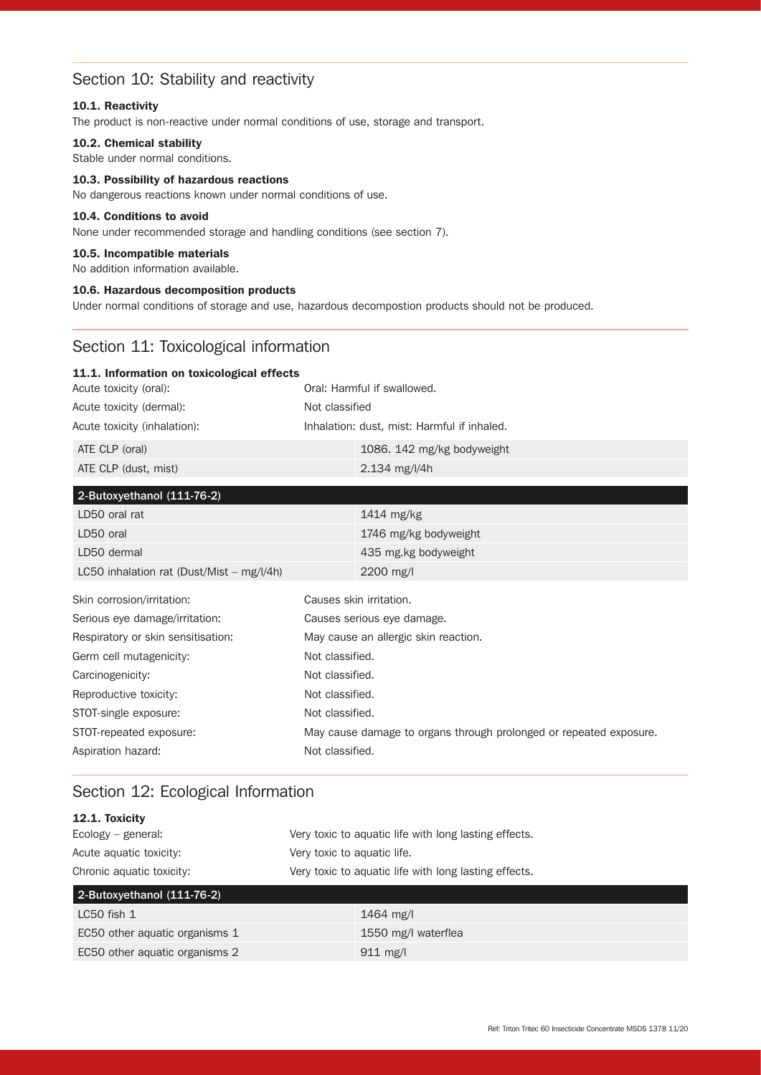## Section 10: Stability and reactivity

#### 10.1. Reactivity

The product is non-reactive under normal conditions of use, storage and transport.

#### 10.2. Chemical stability

Stable under normal conditions.

#### 10.3. Possibility of hazardous reactions

No dangerous reactions known under normal conditions of use.

#### 10.4. Conditions to avoid

None under recommended storage and handling conditions (see section 7).

#### 10.5. Incompatible materials

No addition information available.

#### 10.6. Hazardous decomposition products

Under normal conditions of storage and use, hazardous decompostion products should not be produced.

## Section 11: Toxicological information

| 11.1. Information on toxicological effects  |  |  |
|---------------------------------------------|--|--|
| Oral: Harmful if swallowed.                 |  |  |
| Not classified                              |  |  |
| Inhalation: dust, mist: Harmful if inhaled. |  |  |
|                                             |  |  |

| ATE CLP (oral)       | 1086. 142 mg/kg bodyweight       |
|----------------------|----------------------------------|
| ATE CLP (dust, mist) | $2.134 \text{ mg}/\frac{1}{4}$ h |

| 1414 mg/kg                                                         |  |
|--------------------------------------------------------------------|--|
| 1746 mg/kg bodyweight                                              |  |
| 435 mg kg bodyweight                                               |  |
| 2200 mg/l                                                          |  |
| Causes skin irritation.                                            |  |
| Causes serious eye damage.                                         |  |
| May cause an allergic skin reaction.                               |  |
| Not classified.                                                    |  |
| Not classified.                                                    |  |
| Not classified.                                                    |  |
| Not classified.                                                    |  |
| May cause damage to organs through prolonged or repeated exposure. |  |
| Not classified.                                                    |  |
|                                                                    |  |

## Section 12: Ecological Information

EC50 other aquatic organisms 2 911 mg/l

| 12.1. Toxicity                 |                                                       |                     |
|--------------------------------|-------------------------------------------------------|---------------------|
| Ecology – general:             | Very toxic to aquatic life with long lasting effects. |                     |
| Acute aquatic toxicity:        | Very toxic to aquatic life.                           |                     |
| Chronic aquatic toxicity:      | Very toxic to aquatic life with long lasting effects. |                     |
| 2-Butoxyethanol (111-76-2)     |                                                       |                     |
| $LC50$ fish $1$                |                                                       | 1464 mg/l           |
| EC50 other aquatic organisms 1 |                                                       | 1550 mg/l waterflea |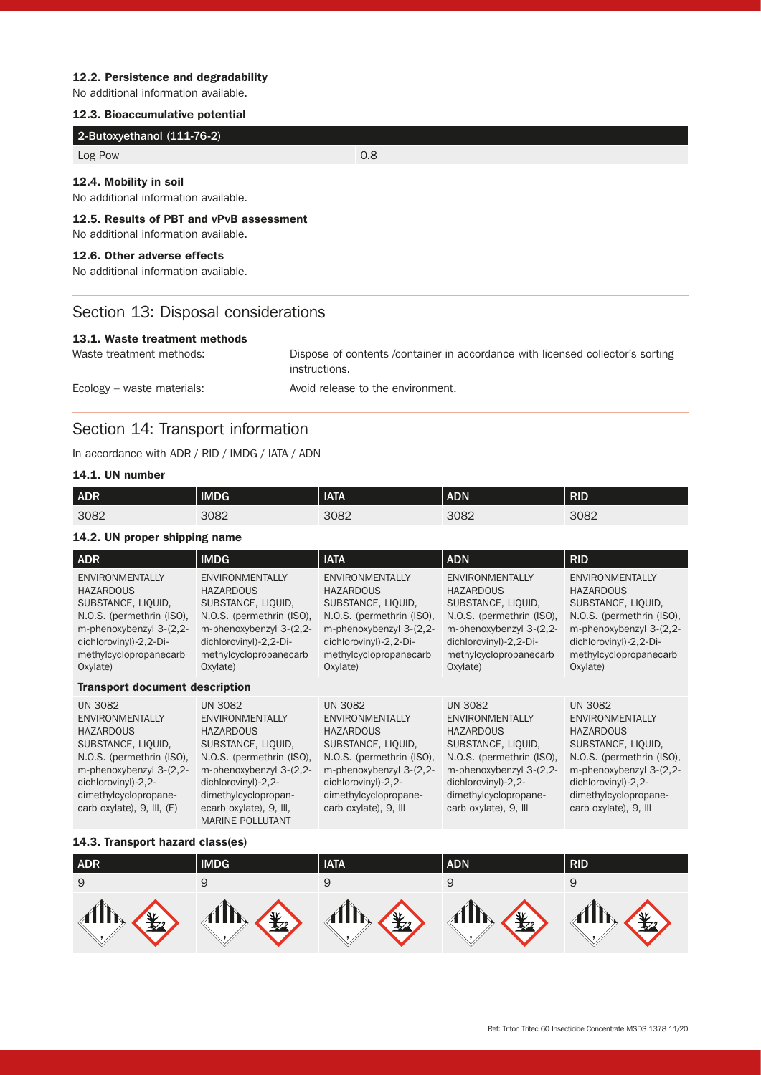#### 12.2. Persistence and degradability

No additional information available.

#### 12.3. Bioaccumulative potential

| $\vert$ 2-Butoxyethanol (111-76-2)                             |     |
|----------------------------------------------------------------|-----|
| Log Pow                                                        | 0.8 |
| 12.4. Mobility in soil<br>No additional information available. |     |

12.5. Results of PBT and vPvB assessment No additional information available.

#### 12.6. Other adverse effects

No additional information available.

### Section 13: Disposal considerations

#### 13.1. Waste treatment methods

Waste treatment methods: Dispose of contents /container in accordance with licensed collector's sorting instructions. Ecology – waste materials: Avoid release to the environment.

## Section 14: Transport information

In accordance with ADR / RID / IMDG / IATA / ADN

### 14.1. UN number

| ADR  | IMDG | <b>IATA</b> | <b>ADN</b> | <b>RID</b> |
|------|------|-------------|------------|------------|
| 3082 | 3082 | 3082        | 3082       | 3082       |

#### 14.2. UN proper shipping name

| <b>ADR</b>                                                                                                                                                                                                               | <b>IMDG</b>                                                                                                                                                                                                                                     | <b>IATA</b>                                                                                                                                                                                                         | <b>ADN</b>                                                                                                                                                                                                          | <b>RID</b>                                                                                                                                                                                                          |
|--------------------------------------------------------------------------------------------------------------------------------------------------------------------------------------------------------------------------|-------------------------------------------------------------------------------------------------------------------------------------------------------------------------------------------------------------------------------------------------|---------------------------------------------------------------------------------------------------------------------------------------------------------------------------------------------------------------------|---------------------------------------------------------------------------------------------------------------------------------------------------------------------------------------------------------------------|---------------------------------------------------------------------------------------------------------------------------------------------------------------------------------------------------------------------|
| <b>ENVIRONMENTALLY</b><br><b>HAZARDOUS</b><br>SUBSTANCE, LIQUID,<br>N.O.S. (permethrin (ISO),<br>m-phenoxybenzyl 3-(2,2-<br>dichlorovinyl)-2,2-Di-<br>methylcyclopropanecarb<br>Oxylate)                                 | <b>ENVIRONMENTALLY</b><br><b>HAZARDOUS</b><br>SUBSTANCE, LIQUID,<br>N.O.S. (permethrin (ISO),<br>m-phenoxybenzyl 3-(2,2-<br>dichlorovinyl)-2,2-Di-<br>methylcyclopropanecarb<br>Oxylate)                                                        | <b>ENVIRONMENTALLY</b><br><b>HAZARDOUS</b><br>SUBSTANCE, LIQUID.<br>N.O.S. (permethrin (ISO),<br>m-phenoxybenzyl 3-(2,2-<br>dichlorovinyl)-2,2-Di-<br>methylcyclopropanecarb<br>Oxylate)                            | <b>ENVIRONMENTALLY</b><br><b>HAZARDOUS</b><br>SUBSTANCE, LIQUID,<br>N.O.S. (permethrin (ISO),<br>m-phenoxybenzyl 3-(2,2-<br>dichlorovinyl)-2,2-Di-<br>methylcyclopropanecarb<br>Oxylate)                            | <b>ENVIRONMENTALLY</b><br><b>HAZARDOUS</b><br>SUBSTANCE, LIQUID,<br>N.O.S. (permethrin (ISO),<br>m-phenoxybenzyl 3-(2,2-<br>dichlorovinyl)-2,2-Di-<br>methylcyclopropanecarb<br>Oxylate)                            |
| <b>Transport document description</b>                                                                                                                                                                                    |                                                                                                                                                                                                                                                 |                                                                                                                                                                                                                     |                                                                                                                                                                                                                     |                                                                                                                                                                                                                     |
| <b>UN 3082</b><br><b>ENVIRONMENTALLY</b><br><b>HAZARDOUS</b><br>SUBSTANCE, LIQUID,<br>N.O.S. (permethrin (ISO),<br>m-phenoxybenzyl 3-(2,2-<br>dichlorovinyl)-2,2-<br>dimethylcyclopropane-<br>carb oxylate), 9, III, (E) | <b>UN 3082</b><br><b>ENVIRONMENTALLY</b><br><b>HAZARDOUS</b><br>SUBSTANCE, LIQUID,<br>N.O.S. (permethrin (ISO),<br>m-phenoxybenzyl 3-(2,2-<br>dichlorovinyl)-2,2-<br>dimethylcyclopropan-<br>ecarb oxylate), 9, III,<br><b>MARINE POLLUTANT</b> | <b>UN 3082</b><br><b>ENVIRONMENTALLY</b><br><b>HAZARDOUS</b><br>SUBSTANCE, LIQUID,<br>N.O.S. (permethrin (ISO),<br>m-phenoxybenzyl 3-(2,2-<br>dichlorovinyl)-2,2-<br>dimethylcyclopropane-<br>carb oxylate), 9, Ill | <b>UN 3082</b><br><b>ENVIRONMENTALLY</b><br><b>HAZARDOUS</b><br>SUBSTANCE, LIQUID,<br>N.O.S. (permethrin (ISO),<br>m-phenoxybenzyl 3-(2,2-<br>dichlorovinyl)-2,2-<br>dimethylcyclopropane-<br>carb oxylate), 9, Ill | <b>UN 3082</b><br><b>ENVIRONMENTALLY</b><br><b>HAZARDOUS</b><br>SUBSTANCE, LIQUID,<br>N.O.S. (permethrin (ISO),<br>m-phenoxybenzyl 3-(2,2-<br>dichlorovinyl)-2,2-<br>dimethylcyclopropane-<br>carb oxylate), 9, Ill |

#### 14.3. Transport hazard class(es)

| ADR                           | <b>IMDG</b>   | <b>IATA</b>                   | <b>ADN</b> | <b>RID</b>    |
|-------------------------------|---------------|-------------------------------|------------|---------------|
| 9                             |               |                               |            |               |
| $\mathbf{M}$<br>$\frac{1}{2}$ | $\frac{1}{2}$ | $\mathbf{M}$<br>$\frac{1}{2}$ | #          | $\frac{1}{2}$ |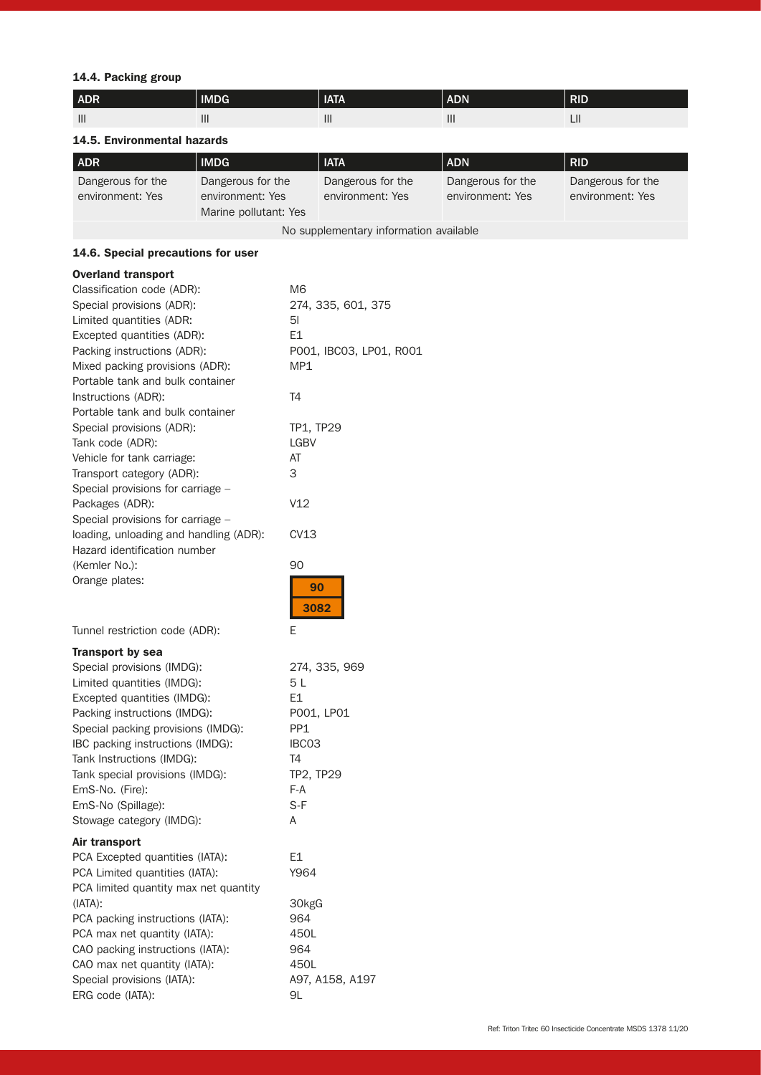### 14.4. Packing group

| <b>ADR</b>                  | <b>IMDG</b>       | <b>TATA</b>       | <b>ADN</b>        | <b>RID</b>        |
|-----------------------------|-------------------|-------------------|-------------------|-------------------|
| $\mathbf{III}$              | Ш                 | Ш                 | Ш                 | LII               |
| 14.5. Environmental hazards |                   |                   |                   |                   |
| <b>ADR</b>                  | <b>IMDG</b>       | <b>IATA</b>       | ADN               | <b>RID</b>        |
| Dangerous for the           | Dangerous for the | Dangerous for the | Dangerous for the | Dangerous for the |

| Dangerous for the<br>environment: Yes  | Dangerous for the<br>environment: Yes<br>Marine pollutant: Yes | Dangerous for the<br>environment: Yes | Dangerous for the<br>environment: Yes | Dangerous for the<br>environment: Yes |
|----------------------------------------|----------------------------------------------------------------|---------------------------------------|---------------------------------------|---------------------------------------|
| No supplementary information available |                                                                |                                       |                                       |                                       |

14.6. Special precautions for user

#### Overland transport

| Classification code (ADR):             | M6                      |
|----------------------------------------|-------------------------|
| Special provisions (ADR):              | 274, 335, 601, 375      |
| Limited quantities (ADR:               | 51                      |
| Excepted quantities (ADR):             | E1                      |
| Packing instructions (ADR):            | P001, IBC03, LP01, R001 |
| Mixed packing provisions (ADR):        | MP1                     |
| Portable tank and bulk container       |                         |
| Instructions (ADR):                    | T <sub>4</sub>          |
| Portable tank and bulk container       |                         |
| Special provisions (ADR):              | TP1, TP29               |
| Tank code (ADR):                       | LGBV                    |
| Vehicle for tank carriage:             | AT                      |
| Transport category (ADR):              | 3                       |
| Special provisions for carriage -      |                         |
| Packages (ADR):                        | V12                     |
| Special provisions for carriage -      |                         |
| loading, unloading and handling (ADR): | CV13                    |
| Hazard identification number           |                         |
| (Kemler No.):                          | 90                      |
| Orange plates:                         | 90                      |
|                                        |                         |
|                                        | 3082                    |
| Tunnel restriction code (ADR):         | E                       |
| <b>Transport by sea</b>                |                         |
| Special provisions (IMDG):             | 274, 335, 969           |
| Limited quantities (IMDG):             | 5 L                     |
| Excepted quantities (IMDG):            | E1                      |
| Packing instructions (IMDG):           | P001, LP01              |
| Special packing provisions (IMDG):     | PP <sub>1</sub>         |
| IBC packing instructions (IMDG):       | IBC03                   |
| Tank Instructions (IMDG):              | T4                      |
| Tank special provisions (IMDG):        | TP2, TP29               |
| EmS-No. (Fire):                        | F-A                     |
| EmS-No (Spillage):                     | S-F                     |
| Stowage category (IMDG):               | Α                       |
|                                        |                         |
| Air transport                          |                         |
| PCA Excepted quantities (IATA):        | E1                      |
| PCA Limited quantities (IATA):         | Y964                    |
| PCA limited quantity max net quantity  |                         |
| $(IATA)$ :                             | 30kgG                   |
| PCA packing instructions (IATA):       | 964                     |
| PCA max net quantity (IATA):           | 450L                    |

CAO packing instructions (IATA): 964 CAO max net quantity (IATA): 450L

ERG code (IATA): 9L

Special provisions (IATA): A97, A158, A197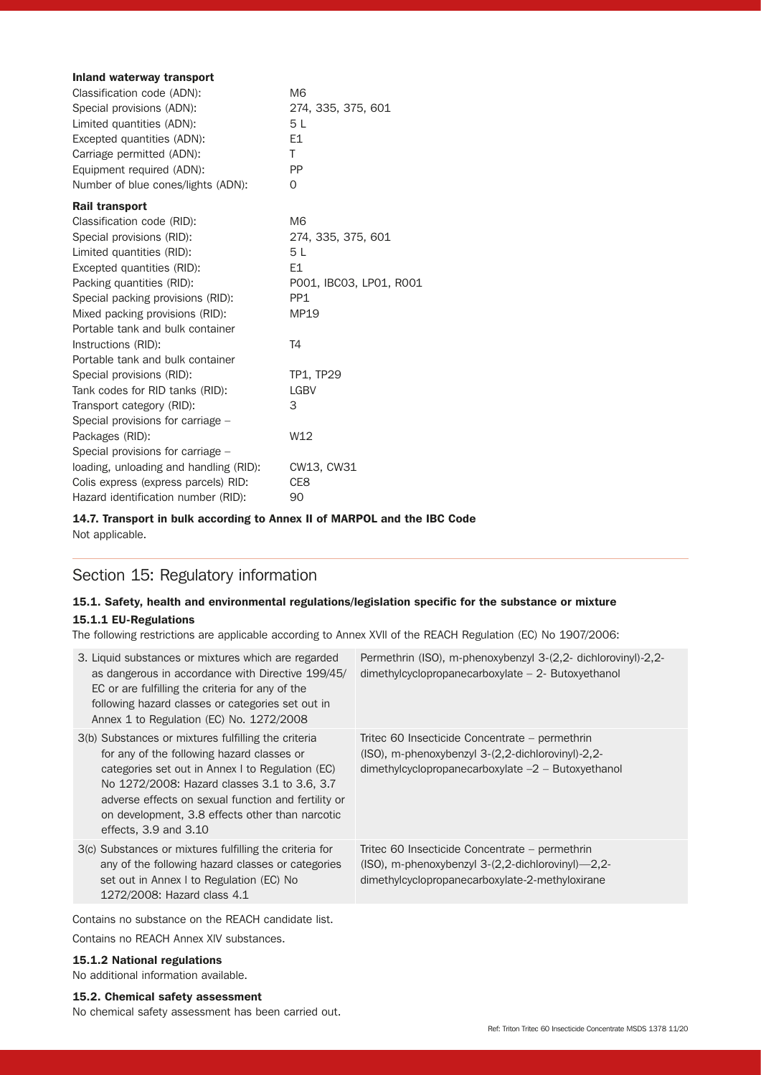| <b>Inland waterway transport</b>       |                         |
|----------------------------------------|-------------------------|
| Classification code (ADN):             | M <sub>6</sub>          |
| Special provisions (ADN):              | 274, 335, 375, 601      |
| Limited quantities (ADN):              | 5 L                     |
| Excepted quantities (ADN):             | E1                      |
| Carriage permitted (ADN):              | T                       |
| Equipment required (ADN):              | <b>PP</b>               |
| Number of blue cones/lights (ADN):     | 0                       |
| <b>Rail transport</b>                  |                         |
| Classification code (RID):             | M <sub>6</sub>          |
| Special provisions (RID):              | 274, 335, 375, 601      |
| Limited quantities (RID):              | 5 L                     |
| Excepted quantities (RID):             | E1                      |
| Packing quantities (RID):              | P001, IBC03, LP01, R001 |
| Special packing provisions (RID):      | PP <sub>1</sub>         |
| Mixed packing provisions (RID):        | MP19                    |
| Portable tank and bulk container       |                         |
| Instructions (RID):                    | T4                      |
| Portable tank and bulk container       |                         |
| Special provisions (RID):              | <b>TP1, TP29</b>        |
| Tank codes for RID tanks (RID):        | <b>LGBV</b>             |
| Transport category (RID):              | 3                       |
| Special provisions for carriage -      |                         |
| Packages (RID):                        | W12                     |
| Special provisions for carriage -      |                         |
| loading, unloading and handling (RID): | CW13, CW31              |
| Colis express (express parcels) RID:   | CE8                     |
| Hazard identification number (RID):    | 90                      |

14.7. Transport in bulk according to Annex II of MARPOL and the IBC Code Not applicable.

## Section 15: Regulatory information

# 15.1. Safety, health and environmental regulations/legislation specific for the substance or mixture

### 15.1.1 EU-Regulations

The following restrictions are applicable according to Annex XVll of the REACH Regulation (EC) No 1907/2006:

| 3. Liquid substances or mixtures which are regarded<br>as dangerous in accordance with Directive 199/45/<br>EC or are fulfilling the criteria for any of the<br>following hazard classes or categories set out in<br>Annex 1 to Regulation (EC) No. 1272/2008                                                                                | Permethrin (ISO), m-phenoxybenzyl 3-(2,2- dichlorovinyl)-2,2-<br>$d$ imethylcyclopropanecarboxylate $-2$ - Butoxyethanol                                           |
|----------------------------------------------------------------------------------------------------------------------------------------------------------------------------------------------------------------------------------------------------------------------------------------------------------------------------------------------|--------------------------------------------------------------------------------------------------------------------------------------------------------------------|
| 3(b) Substances or mixtures fulfilling the criteria<br>for any of the following hazard classes or<br>categories set out in Annex I to Regulation (EC)<br>No 1272/2008: Hazard classes 3.1 to 3.6, 3.7<br>adverse effects on sexual function and fertility or<br>on development, 3.8 effects other than narcotic<br>effects, $3.9$ and $3.10$ | Tritec 60 Insecticide Concentrate – permethrin<br>(ISO), m-phenoxybenzyl 3-(2,2-dichlorovinyl)-2,2-<br>$d$ imethylcyclopropanecarboxylate $-2$ – Butoxyethanol     |
| 3(c) Substances or mixtures fulfilling the criteria for<br>any of the following hazard classes or categories<br>set out in Annex I to Regulation (EC) No<br>1272/2008: Hazard class 4.1                                                                                                                                                      | Tritec 60 Insecticide Concentrate – permethrin<br>$(ISO)$ , m-phenoxybenzyl 3- $(2,2$ -dichlorovinyl)- $-2,2$ -<br>dimethylcyclopropanecarboxylate-2-methyloxirane |

Contains no substance on the REACH candidate list. Contains no REACH Annex XlV substances.

#### 15.1.2 National regulations

No additional information available.

#### 15.2. Chemical safety assessment

No chemical safety assessment has been carried out.